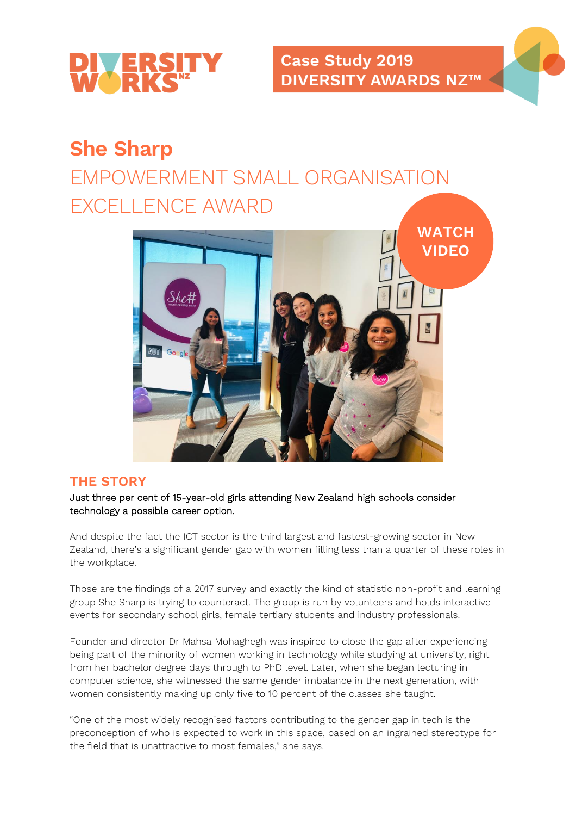

## **She Sharp**

# EMPOWERMENT SMALL ORGANISATION EXCELLENCE AWARD



#### **THE STORY**

Just three per cent of 15-year-old girls attending New Zealand high schools consider technology a possible career option.

And despite the fact the ICT sector is the third largest and fastest-growing sector in New Zealand, there's a significant gender gap with women filling less than a quarter of these roles in the workplace.

Those are the findings of a 2017 survey and exactly the kind of statistic non-profit and learning group She Sharp is trying to counteract. The group is run by volunteers and holds interactive events for secondary school girls, female tertiary students and industry professionals.

Founder and director Dr Mahsa Mohaghegh was inspired to close the gap after experiencing being part of the minority of women working in technology while studying at university, right from her bachelor degree days through to PhD level. Later, when she began lecturing in computer science, she witnessed the same gender imbalance in the next generation, with women consistently making up only five to 10 percent of the classes she taught.

"One of the most widely recognised factors contributing to the gender gap in tech is the preconception of who is expected to work in this space, based on an ingrained stereotype for the field that is unattractive to most females," she says.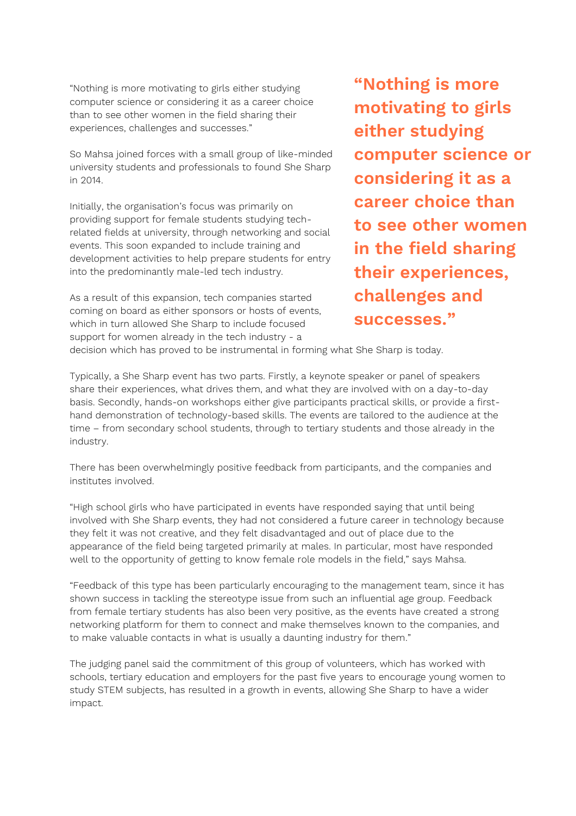"Nothing is more motivating to girls either studying computer science or considering it as a career choice than to see other women in the field sharing their experiences, challenges and successes."

So Mahsa joined forces with a small group of like-minded university students and professionals to found She Sharp in 2014.

Initially, the organisation's focus was primarily on providing support for female students studying techrelated fields at university, through networking and social events. This soon expanded to include training and development activities to help prepare students for entry into the predominantly male-led tech industry.

As a result of this expansion, tech companies started coming on board as either sponsors or hosts of events, which in turn allowed She Sharp to include focused support for women already in the tech industry - a

**"Nothing is more motivating to girls either studying computer science or considering it as a career choice than to see other women in the field sharing their experiences, challenges and successes."**

decision which has proved to be instrumental in forming what She Sharp is today.

Typically, a She Sharp event has two parts. Firstly, a keynote speaker or panel of speakers share their experiences, what drives them, and what they are involved with on a day-to-day basis. Secondly, hands-on workshops either give participants practical skills, or provide a firsthand demonstration of technology-based skills. The events are tailored to the audience at the time – from secondary school students, through to tertiary students and those already in the industry.

There has been overwhelmingly positive feedback from participants, and the companies and institutes involved.

"High school girls who have participated in events have responded saying that until being involved with She Sharp events, they had not considered a future career in technology because they felt it was not creative, and they felt disadvantaged and out of place due to the appearance of the field being targeted primarily at males. In particular, most have responded well to the opportunity of getting to know female role models in the field," says Mahsa.

"Feedback of this type has been particularly encouraging to the management team, since it has shown success in tackling the stereotype issue from such an influential age group. Feedback from female tertiary students has also been very positive, as the events have created a strong networking platform for them to connect and make themselves known to the companies, and to make valuable contacts in what is usually a daunting industry for them."

The judging panel said the commitment of this group of volunteers, which has worked with schools, tertiary education and employers for the past five years to encourage young women to study STEM subjects, has resulted in a growth in events, allowing She Sharp to have a wider impact.